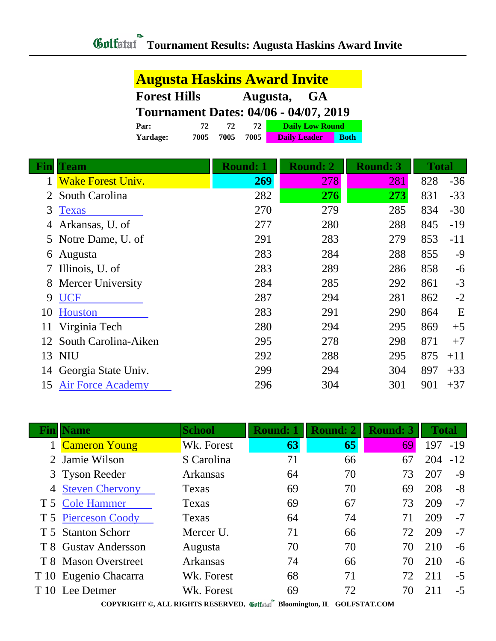|                     |      |      |      | <b>Augusta Haskins Award Invite</b>          |             |
|---------------------|------|------|------|----------------------------------------------|-------------|
| <b>Forest Hills</b> |      |      |      | Augusta, GA                                  |             |
|                     |      |      |      | <b>Tournament Dates: 04/06 - 04/07, 2019</b> |             |
| Par:                | 72   | 72   | 72   | <b>Daily Low Round</b>                       |             |
| Yardage:            | 7005 | 7005 | 7005 | <b>Daily Leader</b>                          | <b>Both</b> |

|          | <b>Team</b>              | <b>Round: 1</b> | <b>Round: 2</b> | <b>Round: 3</b> | <b>Total</b> |       |
|----------|--------------------------|-----------------|-----------------|-----------------|--------------|-------|
|          | <b>Wake Forest Univ.</b> | 269             | 278             | 281             | 828          | $-36$ |
| 2        | South Carolina           | 282             | 276             | 273             | 831          | $-33$ |
| 3        | <b>Texas</b>             | 270             | 279             | 285             | 834          | $-30$ |
| 4        | Arkansas, U. of          | 277             | 280             | 288             | 845          | $-19$ |
| 5        | Notre Dame, U. of        | 291             | 283             | 279             | 853          | $-11$ |
| $\sigma$ | Augusta                  | 283             | 284             | 288             | 855          | $-9$  |
| 7        | Illinois, U. of          | 283             | 289             | 286             | 858          | $-6$  |
| 8        | <b>Mercer University</b> | 284             | 285             | 292             | 861          | $-3$  |
| 9        | <b>UCF</b>               | 287             | 294             | 281             | 862          | $-2$  |
| 10       | <b>Houston</b>           | 283             | 291             | 290             | 864          | E     |
|          | Virginia Tech            | 280             | 294             | 295             | 869          | $+5$  |
| 12       | South Carolina-Aiken     | 295             | 278             | 298             | 871          | $+7$  |
|          | 13 NIU                   | 292             | 288             | 295             | 875          | $+11$ |
| 14       | Georgia State Univ.      | 299             | 294             | 304             | 897          | $+33$ |
| 15       | <b>Air Force Academy</b> | 296             | 304             | 301             | 901          | $+37$ |

| Finll | <b>Name</b>           | <b>School</b>                                                                                          | <b>Round: 1</b> | <b>Round: 2</b> | <b>Round: 3</b> | <b>Total</b> |       |  |  |  |
|-------|-----------------------|--------------------------------------------------------------------------------------------------------|-----------------|-----------------|-----------------|--------------|-------|--|--|--|
|       | 1 Cameron Young       | Wk. Forest                                                                                             | 63              | 65              | 69              | 197          | $-19$ |  |  |  |
|       | 2 Jamie Wilson        | S Carolina                                                                                             | 71              | 66              | 67              | 204          | $-12$ |  |  |  |
|       | 3 Tyson Reeder        | Arkansas                                                                                               | 64              | 70              | 73              | 207          | $-9$  |  |  |  |
|       | 4 Steven Chervony     | Texas                                                                                                  | 69              | 70              | 69              | 208          | $-8$  |  |  |  |
|       | T 5 Cole Hammer       | Texas                                                                                                  | 69              | 67              | 73              | 209          | $-7$  |  |  |  |
|       | T 5 Pierceson Coody   | Texas                                                                                                  | 64              | 74              | 71              | 209          | $-7$  |  |  |  |
|       | T 5 Stanton Schorr    | Mercer U.                                                                                              | 71              | 66              | 72              | 209          | $-7$  |  |  |  |
|       | T 8 Gustav Andersson  | Augusta                                                                                                | 70              | 70              | 70              | 210          | $-6$  |  |  |  |
|       | T 8 Mason Overstreet  | Arkansas                                                                                               | 74              | 66              | 70              | 210          | -6    |  |  |  |
|       | T 10 Eugenio Chacarra | Wk. Forest                                                                                             | 68              | 71              | 72              | 211          | $-5$  |  |  |  |
|       | T 10 Lee Detmer       | Wk. Forest                                                                                             | 69              | 72              | 70              | 211          | $-5$  |  |  |  |
|       |                       | CONTRIGUES IT BLOUGH BEGENEED $\mathscr{M}$ is $\mathbb{R}^n$ by $\mathbb{R}^n$<br>$COT$ potents $COT$ |                 |                 |                 |              |       |  |  |  |

**COPYRIGHT ©, ALL RIGHTS RESERVED, Bloomington, IL GOLFSTAT.COM**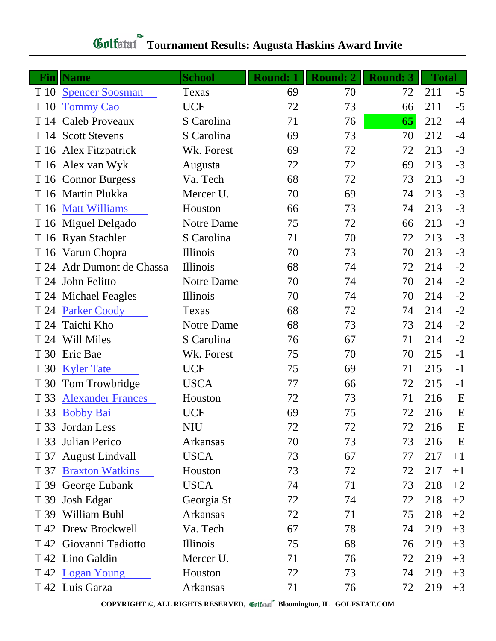## **Fin Name School Round: 1 Round: 2 Round: 3 Total** T 10 [Spencer Soosman](http://www.golfstat.com/ultimate/M520web/M520index.htm?p=B) Texas 69 70 72 211 -5 T 10 [Tommy Cao](http://www.golfstat.com/ultimate/M371web/M371index.htm?p=F) UCF 72 73 66 211 -5 T 14 Caleb Proveaux S Carolina 71 76 **65** 212 -4 T 14 Scott Stevens S Carolina 69 73 70 212 -4 T 16 Alex Fitzpatrick Wk. Forest 69 72 72 213 -3 T 16 Alex van Wyk Augusta 72 72 69 213 -3 T 16 Connor Burgess Va. Tech 68 72 73 213 -3 T 16 Martin Plukka Mercer U. 70 69 74 213 -3 T 16 [Matt Williams](http://www.golfstat.com/ultimate/M501web/M501index.htm?p=A) Houston 66 73 74 213 -3 T 16 Miguel Delgado Notre Dame 75 72 66 213 -3 T 16 Ryan Stachler S Carolina 71 70 72 213 -3 T 16 Varun Chopra Illinois 70 73 70 213 -3 T 24 Adr Dumont de Chassa Illinois 68 74 72 214 -2 T 24 John Felitto **Notre Dame** 70 74 70 214 -2 T 24 Michael Feagles Illinois 70 74 70 214 -2 T 24 [Parker Coody](http://www.golfstat.com/ultimate/M520web/M520index.htm?p=J) Texas 68 72 74 214 -2 T 24 Taichi Kho Notre Dame 68 73 73 214 -2 T 24 Will Miles S Carolina 76 67 71 214 -2 T 30 Eric Bae Wk. Forest 75 70 70 215 -1 T 30 [Kyler Tate](http://www.golfstat.com/ultimate/M371web/M371index.htm?p=B) UCF 75 69 71 215 -1 T 30 Tom Trowbridge USCA 77 66 72 215 -1 T 33 [Alexander Frances](http://www.golfstat.com/ultimate/M501web/M501index.htm?p=J) Houston 72 73 71 216 E T 33 [Bobby Bai](http://www.golfstat.com/ultimate/M371web/M371index.htm?p=D) UCF 69 75 72 216 E T 33 Jordan Less NIU 72 72 72 216 E T 33 Julian Perico Arkansas 70 73 73 216 E T 37 August Lindvall USCA 73 67 77 217 +1 T 37 [Braxton Watkins](http://www.golfstat.com/ultimate/M501web/M501index.htm?p=O) Houston 73 72 72 217 +1 T 39 George Eubank USCA 74 71 73 218 +2 T 39 Josh Edgar Georgia St 72 74 72 218 +2 T 39 William Buhl **Arkansas** 72 71 75 218 +2  $T$  42 Drew Brockwell  $V$ a. Tech 67 78 74 219  $+3$  $T$  42 Giovanni Tadiotto Illinois 75 68 76 219  $+3$ T 42 Lino Galdin Mercer U. 21 76 72 219 +3 T 42 [Logan Young](http://www.golfstat.com/ultimate/M501web/M501index.htm?p=K) Houston 72 73 74 219 +3

## **Tournament Results: Augusta Haskins Award Invite**

**COPYRIGHT ©, ALL RIGHTS RESERVED, Bloomington, IL GOLFSTAT.COM**

T 42 Luis Garza Arkansas 71 76 72 219 +3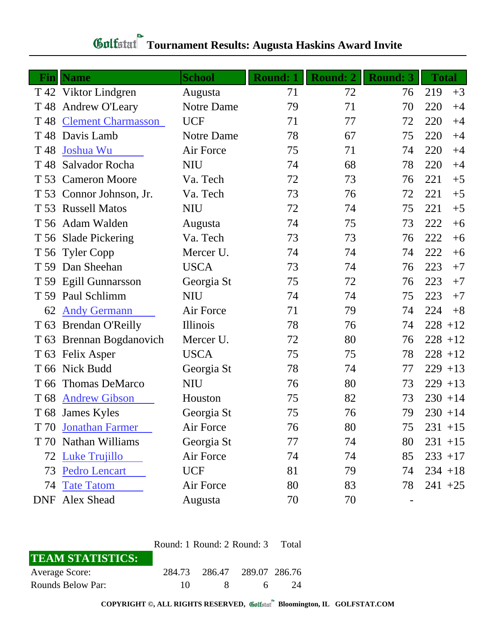## **Gulfatat** Tournament Results: Augusta Haskins Award Invite

|      | <b>Fin</b>   Name         | <b>School</b> | <b>Round: 1</b> | <b>Round: 2</b> | <b>Round: 3</b> | <b>Total</b> |      |
|------|---------------------------|---------------|-----------------|-----------------|-----------------|--------------|------|
|      | T 42 Viktor Lindgren      | Augusta       | 71              | 72              | 76              | 219          | $+3$ |
| T 48 | Andrew O'Leary            | Notre Dame    | 79              | 71              | 70              | 220          | $+4$ |
| T 48 | <b>Clement Charmasson</b> | <b>UCF</b>    | 71              | 77              | 72              | 220          | $+4$ |
| T 48 | Davis Lamb                | Notre Dame    | 78              | 67              | 75              | 220          | $+4$ |
| T 48 | Joshua Wu                 | Air Force     | 75              | 71              | 74              | 220          | $+4$ |
| T 48 | Salvador Rocha            | <b>NIU</b>    | 74              | 68              | 78              | 220          | $+4$ |
|      | T 53 Cameron Moore        | Va. Tech      | 72              | 73              | 76              | 221          | $+5$ |
|      | T 53 Connor Johnson, Jr.  | Va. Tech      | 73              | 76              | 72              | 221          | $+5$ |
|      | T 53 Russell Matos        | <b>NIU</b>    | 72              | 74              | 75              | 221          | $+5$ |
|      | T 56 Adam Walden          | Augusta       | 74              | 75              | 73              | 222          | $+6$ |
|      | T 56 Slade Pickering      | Va. Tech      | 73              | 73              | 76              | 222          | $+6$ |
|      | T 56 Tyler Copp           | Mercer U.     | 74              | 74              | 74              | 222          | $+6$ |
|      | T 59 Dan Sheehan          | <b>USCA</b>   | 73              | 74              | 76              | 223          | $+7$ |
|      | T 59 Egill Gunnarsson     | Georgia St    | 75              | 72              | 76              | 223          | $+7$ |
| T 59 | Paul Schlimm              | <b>NIU</b>    | 74              | 74              | 75              | 223          | $+7$ |
| 62   | <b>Andy Germann</b>       | Air Force     | 71              | 79              | 74              | 224          | $+8$ |
|      | T 63 Brendan O'Reilly     | Illinois      | 78              | 76              | 74              | $228 + 12$   |      |
|      | T 63 Brennan Bogdanovich  | Mercer U.     | 72              | 80              | 76              | $228 + 12$   |      |
|      | T 63 Felix Asper          | <b>USCA</b>   | 75              | 75              | 78              | $228 + 12$   |      |
|      | T 66 Nick Budd            | Georgia St    | 78              | 74              | 77              | $229 + 13$   |      |
| T 66 | Thomas DeMarco            | <b>NIU</b>    | 76              | 80              | 73              | $229 + 13$   |      |
| T 68 | <b>Andrew Gibson</b>      | Houston       | 75              | 82              | 73              | $230 + 14$   |      |
|      | T 68 James Kyles          | Georgia St    | 75              | 76              | 79              | $230 + 14$   |      |
|      | T 70 Jonathan Farmer      | Air Force     | 76              | 80              | 75              | $231 + 15$   |      |
|      | T 70 Nathan Williams      | Georgia St    | 77              | 74              | 80              | $231 + 15$   |      |
|      | 72 Luke Trujillo          | Air Force     | 74              | 74              | 85              | $233 + 17$   |      |
| 73   | <b>Pedro Lencart</b>      | <b>UCF</b>    | 81              | 79              | 74              | $234 + 18$   |      |
| 74   | <b>Tate Tatom</b>         | Air Force     | 80              | 83              | 78              | $241 + 25$   |      |
|      | DNF Alex Shead            | Augusta       | 70              | 70              |                 |              |      |

| Round: 1 Round: 2 Round: 3 Total |  |   |                                             |  |  |
|----------------------------------|--|---|---------------------------------------------|--|--|
|                                  |  |   |                                             |  |  |
|                                  |  |   |                                             |  |  |
| 10.                              |  | 6 | -24                                         |  |  |
|                                  |  |   | 284.73 286.47 289.07 286.76<br>$\mathsf{R}$ |  |  |

**COPYRIGHT ©, ALL RIGHTS RESERVED, Bloomington, IL GOLFSTAT.COM**